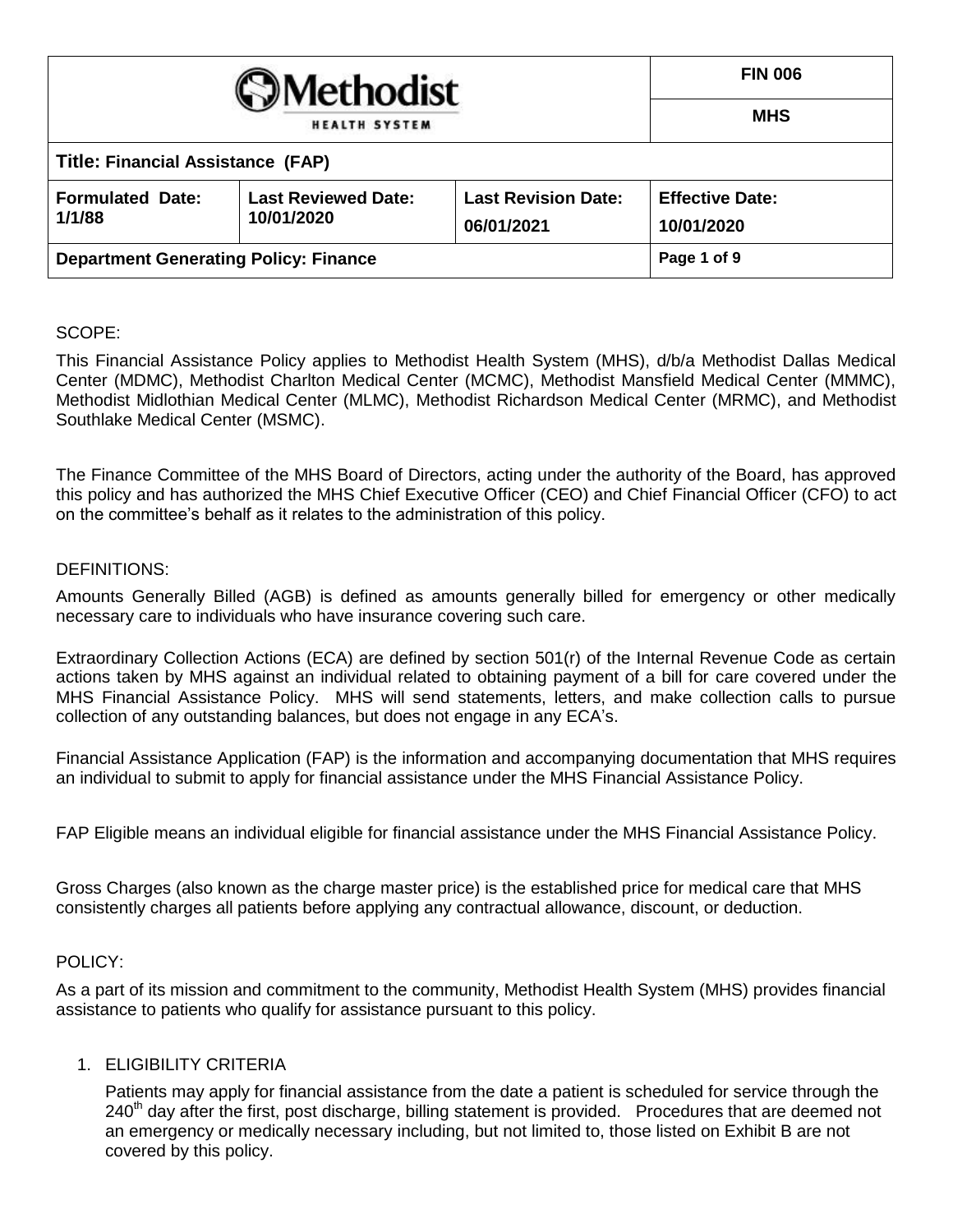| <b>S</b> Methodist |
|--------------------|
| HEALTH SYSTEM      |

**FIN 006**

**MHS**

## **Title: Financial Assistance (FAP)**

| <b>Formulated Date:</b><br>1/1/88            | <b>Last Reviewed Date:</b><br>10/01/2020 | <b>Last Revision Date:</b><br>06/01/2021 | <b>Effective Date:</b><br>10/01/2020 |
|----------------------------------------------|------------------------------------------|------------------------------------------|--------------------------------------|
| <b>Department Generating Policy: Finance</b> |                                          |                                          | Page 1 of 9                          |

#### SCOPE:

This Financial Assistance Policy applies to Methodist Health System (MHS), d/b/a Methodist Dallas Medical Center (MDMC), Methodist Charlton Medical Center (MCMC), Methodist Mansfield Medical Center (MMMC), Methodist Midlothian Medical Center (MLMC), Methodist Richardson Medical Center (MRMC), and Methodist Southlake Medical Center (MSMC).

The Finance Committee of the MHS Board of Directors, acting under the authority of the Board, has approved this policy and has authorized the MHS Chief Executive Officer (CEO) and Chief Financial Officer (CFO) to act on the committee's behalf as it relates to the administration of this policy.

## DEFINITIONS:

Amounts Generally Billed (AGB) is defined as amounts generally billed for emergency or other medically necessary care to individuals who have insurance covering such care.

Extraordinary Collection Actions (ECA) are defined by section 501(r) of the Internal Revenue Code as certain actions taken by MHS against an individual related to obtaining payment of a bill for care covered under the MHS Financial Assistance Policy. MHS will send statements, letters, and make collection calls to pursue collection of any outstanding balances, but does not engage in any ECA's.

Financial Assistance Application (FAP) is the information and accompanying documentation that MHS requires an individual to submit to apply for financial assistance under the MHS Financial Assistance Policy.

FAP Eligible means an individual eligible for financial assistance under the MHS Financial Assistance Policy.

Gross Charges (also known as the charge master price) is the established price for medical care that MHS consistently charges all patients before applying any contractual allowance, discount, or deduction.

## POLICY:

As a part of its mission and commitment to the community, Methodist Health System (MHS) provides financial assistance to patients who qualify for assistance pursuant to this policy.

#### 1. ELIGIBILITY CRITERIA

Patients may apply for financial assistance from the date a patient is scheduled for service through the  $240<sup>th</sup>$  day after the first, post discharge, billing statement is provided. Procedures that are deemed not an emergency or medically necessary including, but not limited to, those listed on Exhibit B are not covered by this policy.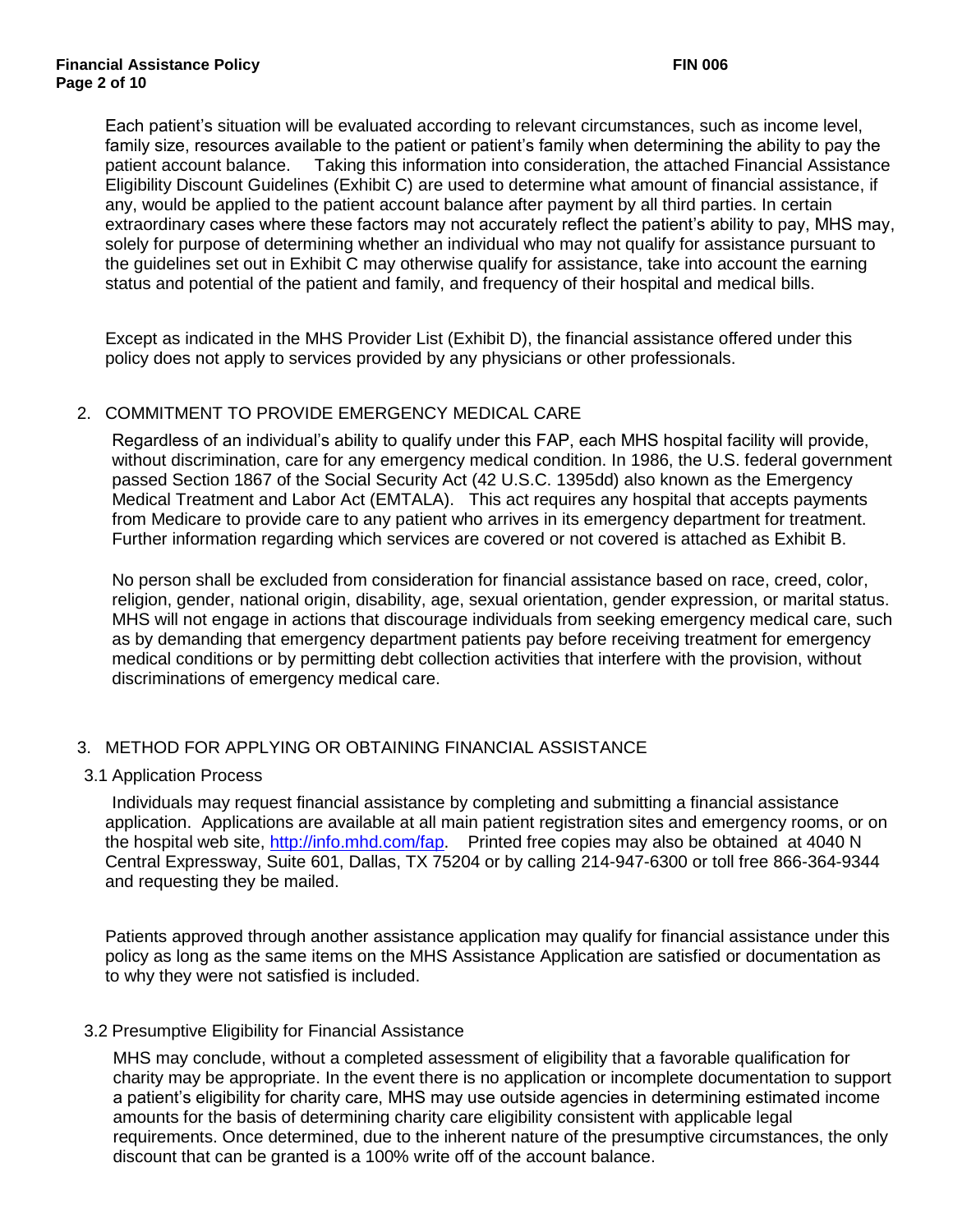Each patient's situation will be evaluated according to relevant circumstances, such as income level, family size, resources available to the patient or patient's family when determining the ability to pay the patient account balance. Taking this information into consideration, the attached Financial Assistance Eligibility Discount Guidelines (Exhibit C) are used to determine what amount of financial assistance, if any, would be applied to the patient account balance after payment by all third parties. In certain extraordinary cases where these factors may not accurately reflect the patient's ability to pay, MHS may, solely for purpose of determining whether an individual who may not qualify for assistance pursuant to the guidelines set out in Exhibit C may otherwise qualify for assistance, take into account the earning status and potential of the patient and family, and frequency of their hospital and medical bills.

Except as indicated in the MHS Provider List (Exhibit D), the financial assistance offered under this policy does not apply to services provided by any physicians or other professionals.

## 2. COMMITMENT TO PROVIDE EMERGENCY MEDICAL CARE

Regardless of an individual's ability to qualify under this FAP, each MHS hospital facility will provide, without discrimination, care for any emergency medical condition. In 1986, the U.S. federal government passed Section 1867 of the Social Security Act (42 U.S.C. 1395dd) also known as the Emergency Medical Treatment and Labor Act (EMTALA). This act requires any hospital that accepts payments from Medicare to provide care to any patient who arrives in its emergency department for treatment. Further information regarding which services are covered or not covered is attached as Exhibit B.

No person shall be excluded from consideration for financial assistance based on race, creed, color, religion, gender, national origin, disability, age, sexual orientation, gender expression, or marital status. MHS will not engage in actions that discourage individuals from seeking emergency medical care, such as by demanding that emergency department patients pay before receiving treatment for emergency medical conditions or by permitting debt collection activities that interfere with the provision, without discriminations of emergency medical care.

## 3. METHOD FOR APPLYING OR OBTAINING FINANCIAL ASSISTANCE

#### 3.1 Application Process

Individuals may request financial assistance by completing and submitting a financial assistance application. Applications are available at all main patient registration sites and emergency rooms, or on the hospital web site, [http://info.mhd.com/fap.](http://info.mhd.com/fap) Printed free copies may also be obtained at 4040 N Central Expressway, Suite 601, Dallas, TX 75204 or by calling 214-947-6300 or toll free 866-364-9344 and requesting they be mailed.

Patients approved through another assistance application may qualify for financial assistance under this policy as long as the same items on the MHS Assistance Application are satisfied or documentation as to why they were not satisfied is included.

#### 3.2 Presumptive Eligibility for Financial Assistance

MHS may conclude, without a completed assessment of eligibility that a favorable qualification for charity may be appropriate. In the event there is no application or incomplete documentation to support a patient's eligibility for charity care, MHS may use outside agencies in determining estimated income amounts for the basis of determining charity care eligibility consistent with applicable legal requirements. Once determined, due to the inherent nature of the presumptive circumstances, the only discount that can be granted is a 100% write off of the account balance.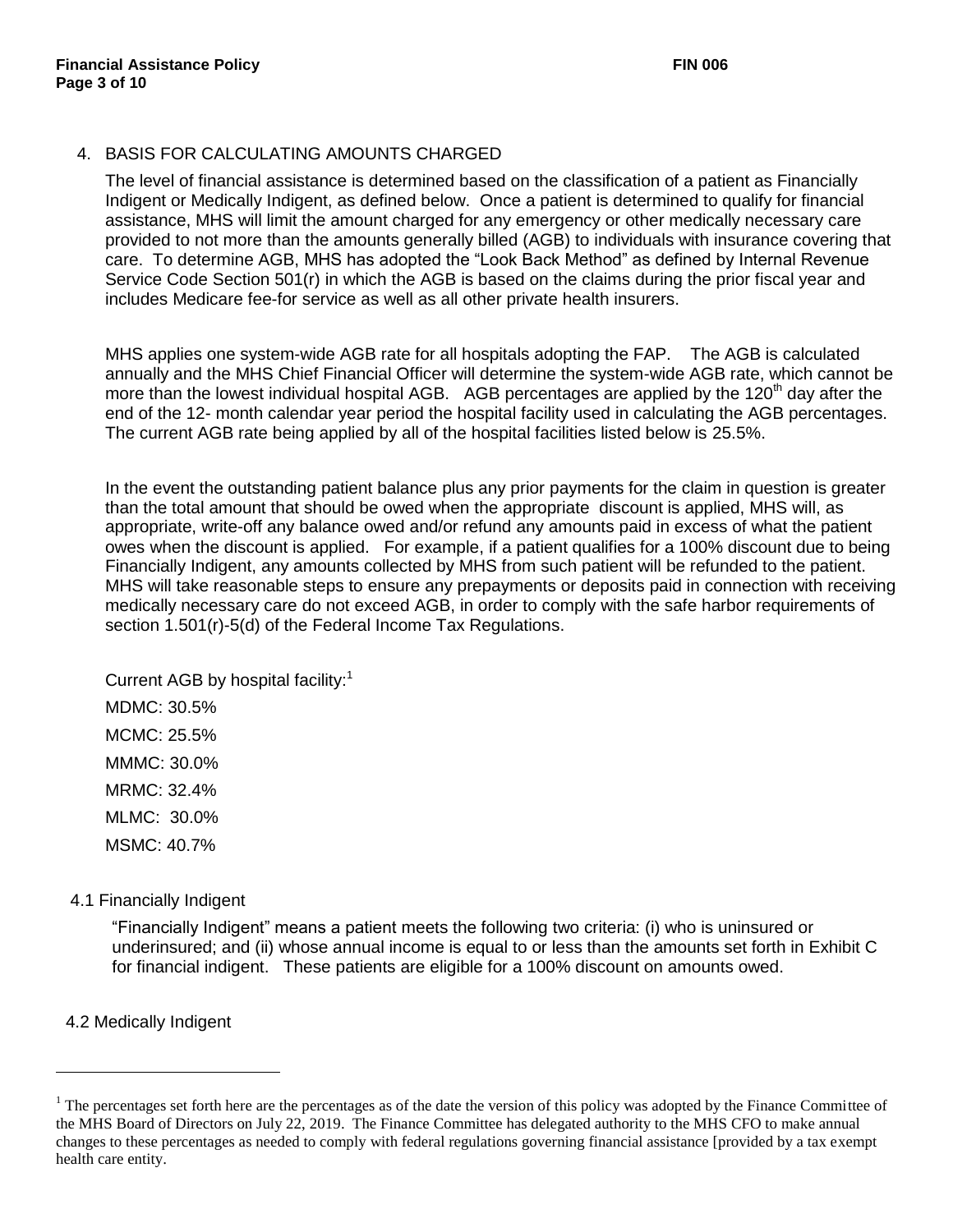## 4. BASIS FOR CALCULATING AMOUNTS CHARGED

The level of financial assistance is determined based on the classification of a patient as Financially Indigent or Medically Indigent, as defined below. Once a patient is determined to qualify for financial assistance, MHS will limit the amount charged for any emergency or other medically necessary care provided to not more than the amounts generally billed (AGB) to individuals with insurance covering that care. To determine AGB, MHS has adopted the "Look Back Method" as defined by Internal Revenue Service Code Section 501(r) in which the AGB is based on the claims during the prior fiscal year and includes Medicare fee-for service as well as all other private health insurers.

MHS applies one system-wide AGB rate for all hospitals adopting the FAP. The AGB is calculated annually and the MHS Chief Financial Officer will determine the system-wide AGB rate, which cannot be more than the lowest individual hospital AGB. AGB percentages are applied by the 120<sup>th</sup> day after the end of the 12- month calendar year period the hospital facility used in calculating the AGB percentages. The current AGB rate being applied by all of the hospital facilities listed below is 25.5%.

In the event the outstanding patient balance plus any prior payments for the claim in question is greater than the total amount that should be owed when the appropriate discount is applied, MHS will, as appropriate, write-off any balance owed and/or refund any amounts paid in excess of what the patient owes when the discount is applied. For example, if a patient qualifies for a 100% discount due to being Financially Indigent, any amounts collected by MHS from such patient will be refunded to the patient. MHS will take reasonable steps to ensure any prepayments or deposits paid in connection with receiving medically necessary care do not exceed AGB, in order to comply with the safe harbor requirements of section 1.501(r)-5(d) of the Federal Income Tax Regulations.

Current AGB by hospital facility: $1$ MDMC: 30.5% MCMC: 25.5% MMMC: 30.0% MRMC: 32.4% MLMC: 30.0%

MSMC: 40.7%

4.1 Financially Indigent

"Financially Indigent" means a patient meets the following two criteria: (i) who is uninsured or underinsured; and (ii) whose annual income is equal to or less than the amounts set forth in Exhibit C for financial indigent. These patients are eligible for a 100% discount on amounts owed.

4.2 Medically Indigent

 $\overline{a}$ 

 $<sup>1</sup>$  The percentages set forth here are the percentages as of the date the version of this policy was adopted by the Finance Committee of</sup> the MHS Board of Directors on July 22, 2019. The Finance Committee has delegated authority to the MHS CFO to make annual changes to these percentages as needed to comply with federal regulations governing financial assistance [provided by a tax exempt health care entity.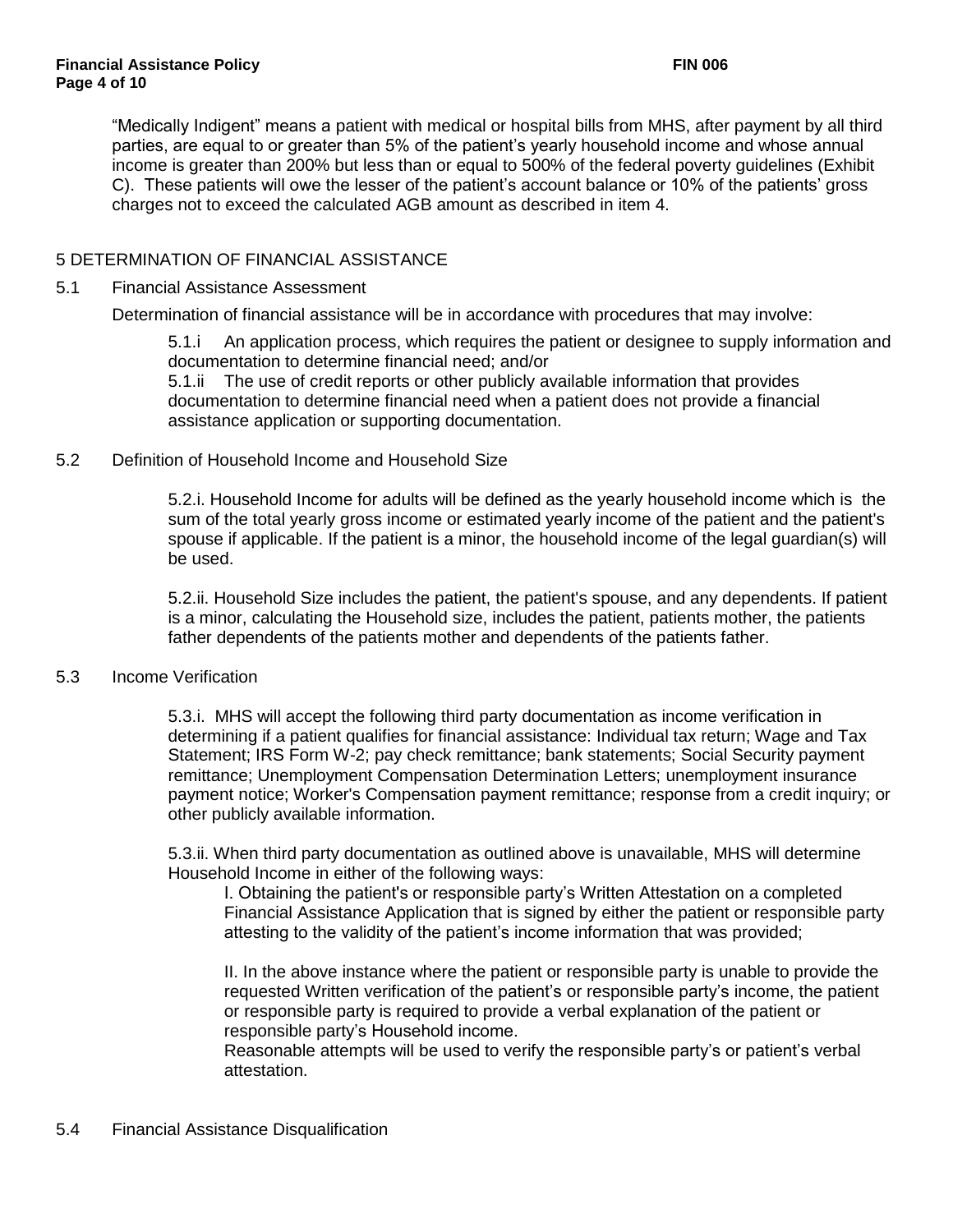"Medically Indigent" means a patient with medical or hospital bills from MHS, after payment by all third parties, are equal to or greater than 5% of the patient's yearly household income and whose annual income is greater than 200% but less than or equal to 500% of the federal poverty guidelines (Exhibit C). These patients will owe the lesser of the patient's account balance or 10% of the patients' gross charges not to exceed the calculated AGB amount as described in item 4.

## 5 DETERMINATION OF FINANCIAL ASSISTANCE

#### 5.1 Financial Assistance Assessment

Determination of financial assistance will be in accordance with procedures that may involve:

5.1.i An application process, which requires the patient or designee to supply information and documentation to determine financial need; and/or 5.1.ii The use of credit reports or other publicly available information that provides documentation to determine financial need when a patient does not provide a financial assistance application or supporting documentation.

## 5.2 Definition of Household Income and Household Size

5.2.i. Household Income for adults will be defined as the yearly household income which is the sum of the total yearly gross income or estimated yearly income of the patient and the patient's spouse if applicable. If the patient is a minor, the household income of the legal guardian(s) will be used.

5.2.ii. Household Size includes the patient, the patient's spouse, and any dependents. If patient is a minor, calculating the Household size, includes the patient, patients mother, the patients father dependents of the patients mother and dependents of the patients father.

#### 5.3 Income Verification

5.3.i. MHS will accept the following third party documentation as income verification in determining if a patient qualifies for financial assistance: Individual tax return; Wage and Tax Statement; IRS Form W-2; pay check remittance; bank statements; Social Security payment remittance; Unemployment Compensation Determination Letters; unemployment insurance payment notice; Worker's Compensation payment remittance; response from a credit inquiry; or other publicly available information.

5.3.ii. When third party documentation as outlined above is unavailable, MHS will determine Household Income in either of the following ways:

I. Obtaining the patient's or responsible party's Written Attestation on a completed Financial Assistance Application that is signed by either the patient or responsible party attesting to the validity of the patient's income information that was provided;

II. In the above instance where the patient or responsible party is unable to provide the requested Written verification of the patient's or responsible party's income, the patient or responsible party is required to provide a verbal explanation of the patient or responsible party's Household income.

Reasonable attempts will be used to verify the responsible party's or patient's verbal attestation.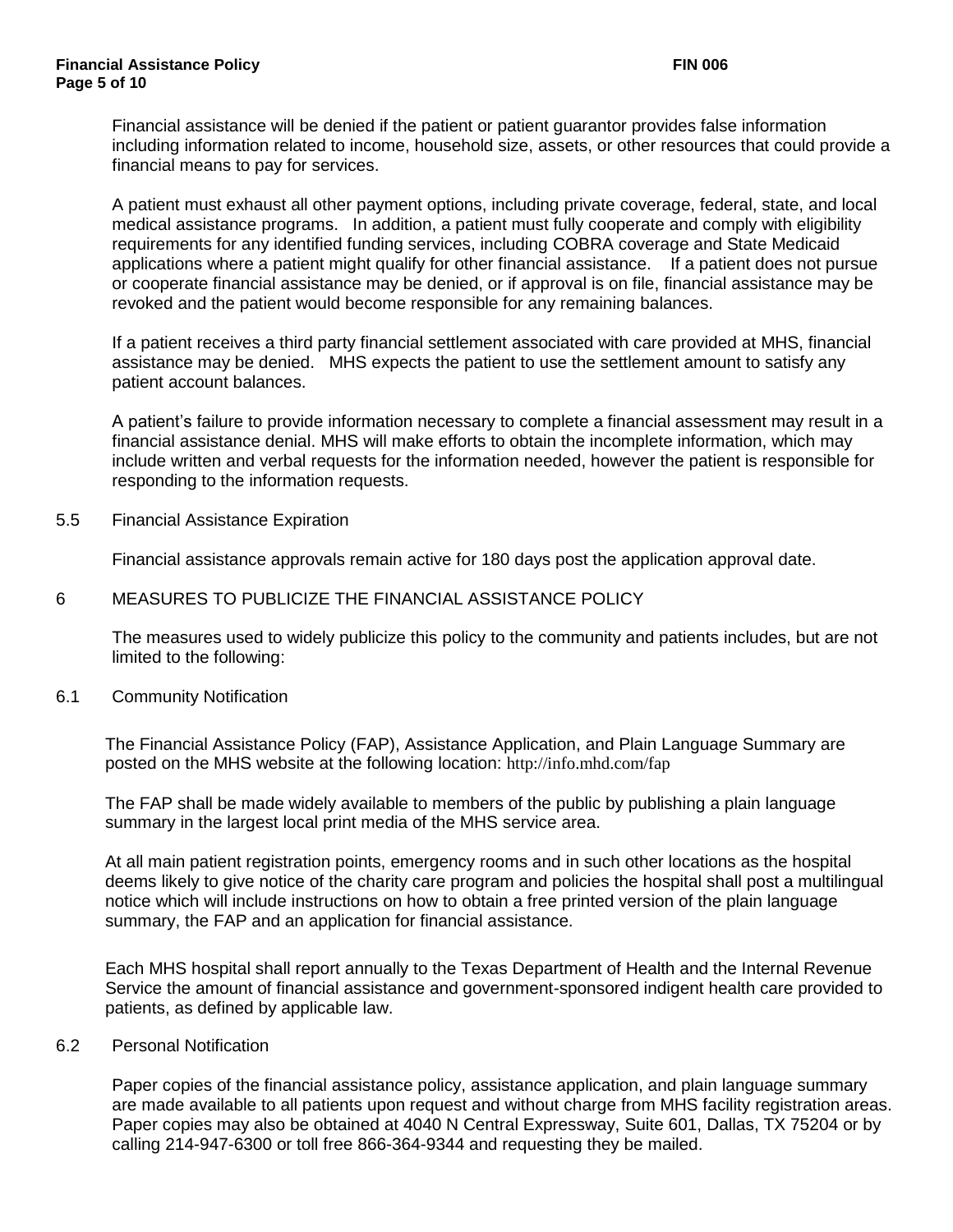Financial assistance will be denied if the patient or patient guarantor provides false information including information related to income, household size, assets, or other resources that could provide a financial means to pay for services.

A patient must exhaust all other payment options, including private coverage, federal, state, and local medical assistance programs. In addition, a patient must fully cooperate and comply with eligibility requirements for any identified funding services, including COBRA coverage and State Medicaid applications where a patient might qualify for other financial assistance. If a patient does not pursue or cooperate financial assistance may be denied, or if approval is on file, financial assistance may be revoked and the patient would become responsible for any remaining balances.

If a patient receives a third party financial settlement associated with care provided at MHS, financial assistance may be denied. MHS expects the patient to use the settlement amount to satisfy any patient account balances.

A patient's failure to provide information necessary to complete a financial assessment may result in a financial assistance denial. MHS will make efforts to obtain the incomplete information, which may include written and verbal requests for the information needed, however the patient is responsible for responding to the information requests.

5.5 Financial Assistance Expiration

Financial assistance approvals remain active for 180 days post the application approval date.

#### 6 MEASURES TO PUBLICIZE THE FINANCIAL ASSISTANCE POLICY

The measures used to widely publicize this policy to the community and patients includes, but are not limited to the following:

#### 6.1 Community Notification

The Financial Assistance Policy (FAP), Assistance Application, and Plain Language Summary are posted on the MHS website at the following location: http://info.mhd.com/fap

The FAP shall be made widely available to members of the public by publishing a plain language summary in the largest local print media of the MHS service area.

At all main patient registration points, emergency rooms and in such other locations as the hospital deems likely to give notice of the charity care program and policies the hospital shall post a multilingual notice which will include instructions on how to obtain a free printed version of the plain language summary, the FAP and an application for financial assistance.

Each MHS hospital shall report annually to the Texas Department of Health and the Internal Revenue Service the amount of financial assistance and government-sponsored indigent health care provided to patients, as defined by applicable law.

#### 6.2 Personal Notification

Paper copies of the financial assistance policy, assistance application, and plain language summary are made available to all patients upon request and without charge from MHS facility registration areas. Paper copies may also be obtained at 4040 N Central Expressway, Suite 601, Dallas, TX 75204 or by calling 214-947-6300 or toll free 866-364-9344 and requesting they be mailed.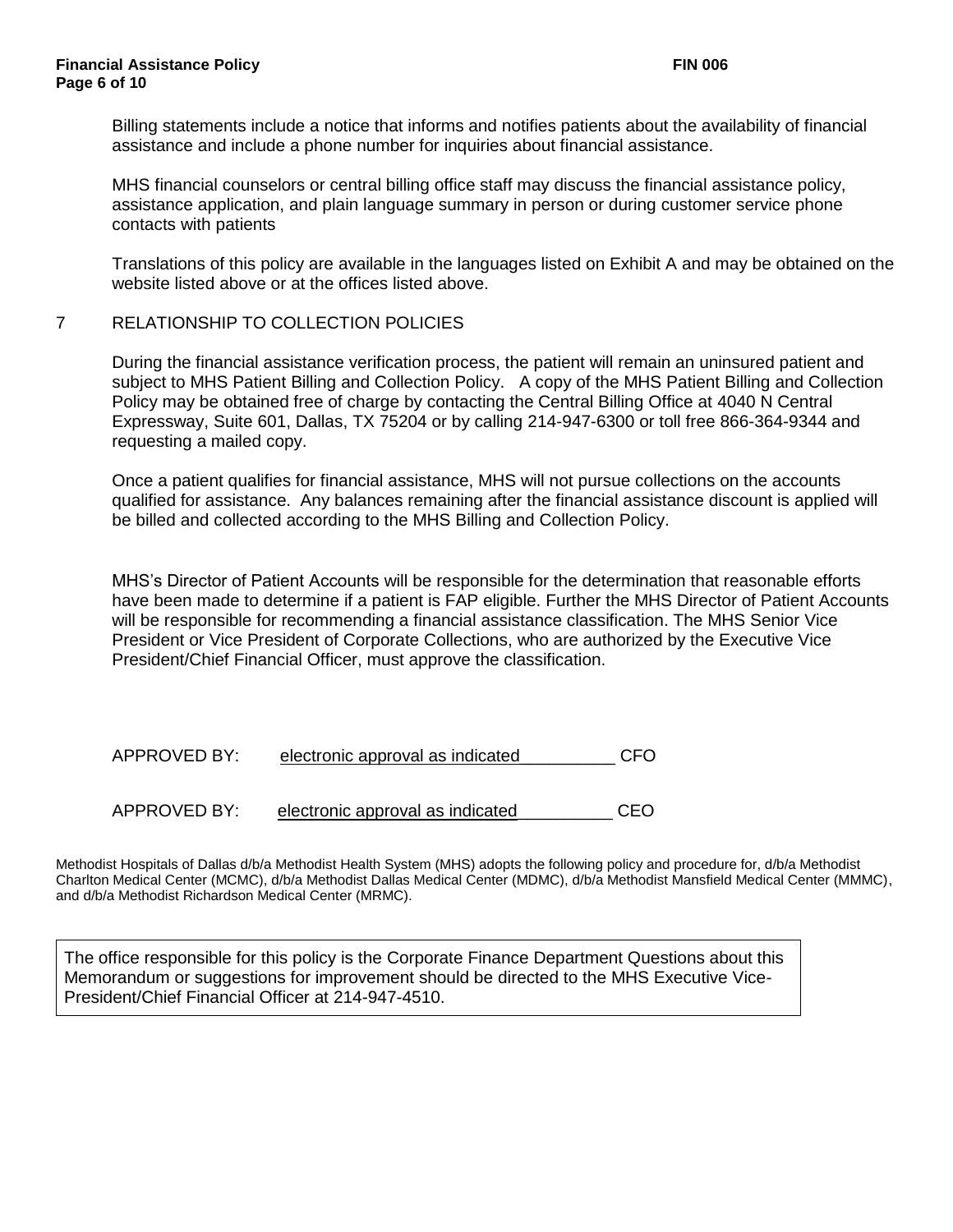Billing statements include a notice that informs and notifies patients about the availability of financial assistance and include a phone number for inquiries about financial assistance.

MHS financial counselors or central billing office staff may discuss the financial assistance policy, assistance application, and plain language summary in person or during customer service phone contacts with patients

Translations of this policy are available in the languages listed on Exhibit A and may be obtained on the website listed above or at the offices listed above.

#### 7 RELATIONSHIP TO COLLECTION POLICIES

During the financial assistance verification process, the patient will remain an uninsured patient and subject to MHS Patient Billing and Collection Policy. A copy of the MHS Patient Billing and Collection Policy may be obtained free of charge by contacting the Central Billing Office at 4040 N Central Expressway, Suite 601, Dallas, TX 75204 or by calling 214-947-6300 or toll free 866-364-9344 and requesting a mailed copy.

Once a patient qualifies for financial assistance, MHS will not pursue collections on the accounts qualified for assistance. Any balances remaining after the financial assistance discount is applied will be billed and collected according to the MHS Billing and Collection Policy.

MHS's Director of Patient Accounts will be responsible for the determination that reasonable efforts have been made to determine if a patient is FAP eligible. Further the MHS Director of Patient Accounts will be responsible for recommending a financial assistance classification. The MHS Senior Vice President or Vice President of Corporate Collections, who are authorized by the Executive Vice President/Chief Financial Officer, must approve the classification.

| <b>APPROVED BY:</b> | electronic approval as indicated | CFO |
|---------------------|----------------------------------|-----|
|                     |                                  |     |
|                     |                                  |     |

APPROVED BY: electronic approval as indicated\_\_\_\_\_\_\_\_\_\_ CEO

Methodist Hospitals of Dallas d/b/a Methodist Health System (MHS) adopts the following policy and procedure for, d/b/a Methodist Charlton Medical Center (MCMC), d/b/a Methodist Dallas Medical Center (MDMC), d/b/a Methodist Mansfield Medical Center (MMMC), and d/b/a Methodist Richardson Medical Center (MRMC).

The office responsible for this policy is the Corporate Finance Department Questions about this Memorandum or suggestions for improvement should be directed to the MHS Executive Vice-President/Chief Financial Officer at 214-947-4510.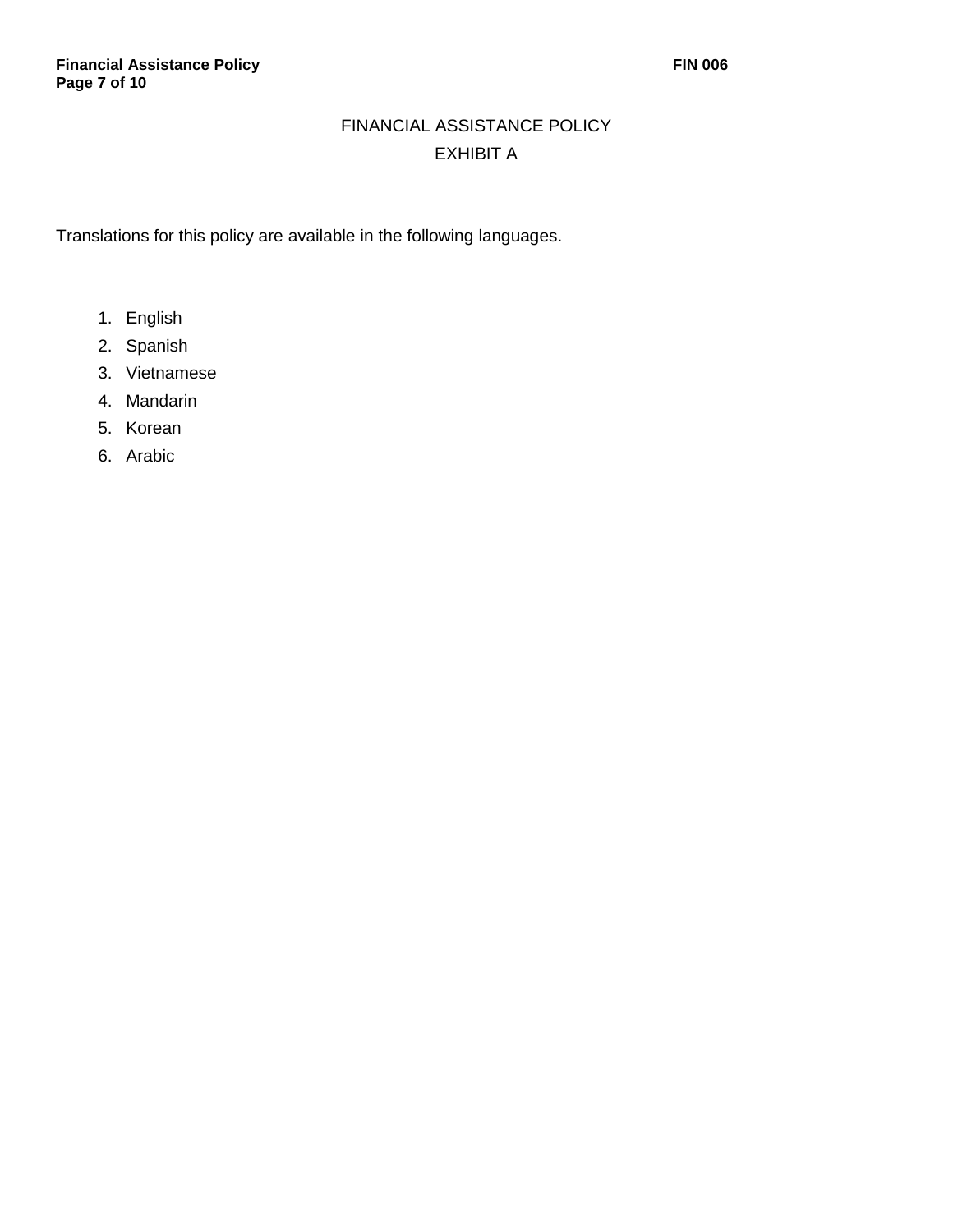# FINANCIAL ASSISTANCE POLICY EXHIBIT A

Translations for this policy are available in the following languages.

- 1. English
- 2. Spanish
- 3. Vietnamese
- 4. Mandarin
- 5. Korean
- 6. Arabic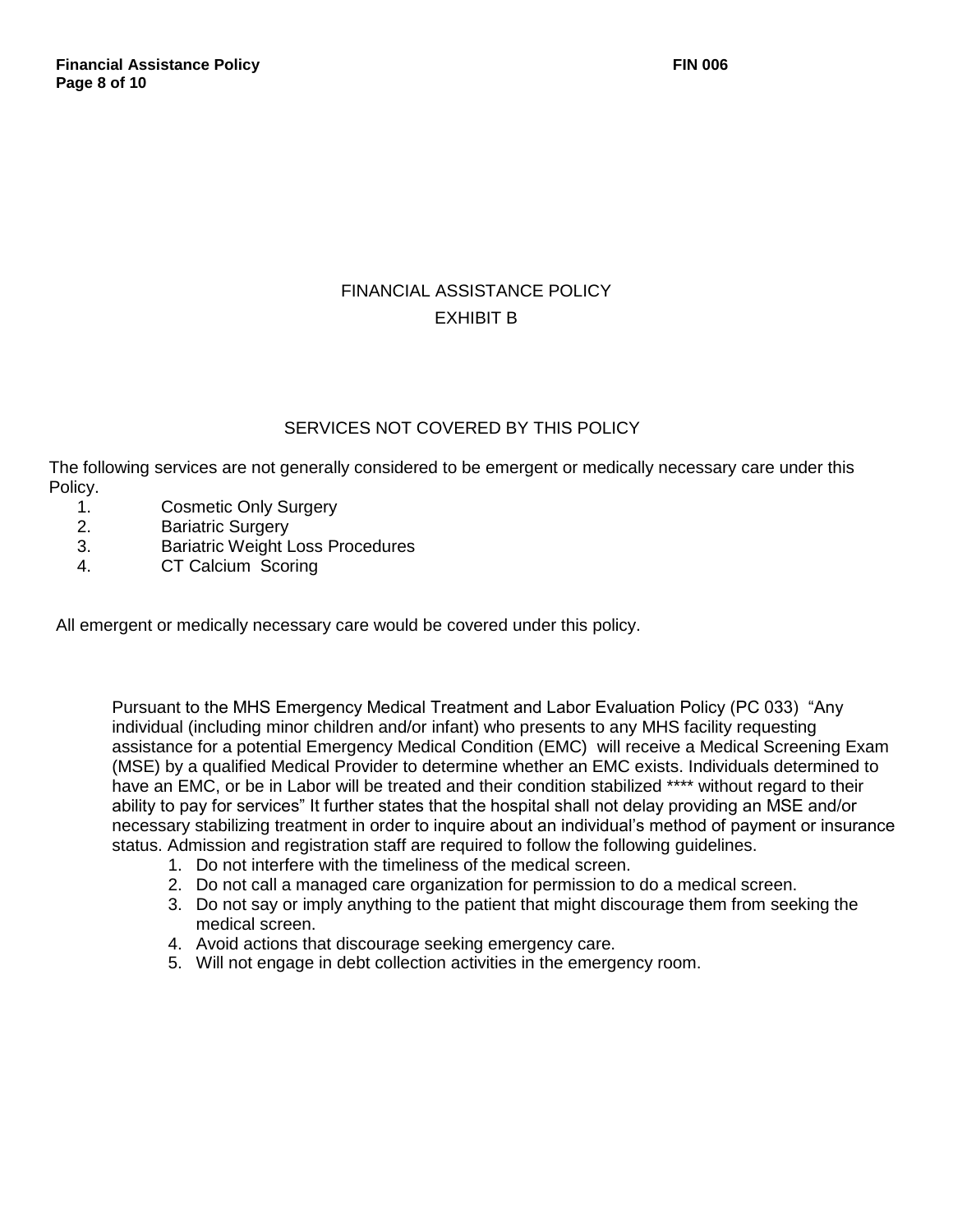# FINANCIAL ASSISTANCE POLICY EXHIBIT B

## SERVICES NOT COVERED BY THIS POLICY

The following services are not generally considered to be emergent or medically necessary care under this Policy.

- 1. Cosmetic Only Surgery
- 2. Bariatric Surgery
- 3. Bariatric Weight Loss Procedures
- 4. CT Calcium Scoring

All emergent or medically necessary care would be covered under this policy.

Pursuant to the MHS Emergency Medical Treatment and Labor Evaluation Policy (PC 033) "Any individual (including minor children and/or infant) who presents to any MHS facility requesting assistance for a potential Emergency Medical Condition (EMC) will receive a Medical Screening Exam (MSE) by a qualified Medical Provider to determine whether an EMC exists. Individuals determined to have an EMC, or be in Labor will be treated and their condition stabilized \*\*\*\* without regard to their ability to pay for services" It further states that the hospital shall not delay providing an MSE and/or necessary stabilizing treatment in order to inquire about an individual's method of payment or insurance status. Admission and registration staff are required to follow the following guidelines.

- 1. Do not interfere with the timeliness of the medical screen.
- 2. Do not call a managed care organization for permission to do a medical screen.
- 3. Do not say or imply anything to the patient that might discourage them from seeking the medical screen.
- 4. Avoid actions that discourage seeking emergency care.
- 5. Will not engage in debt collection activities in the emergency room.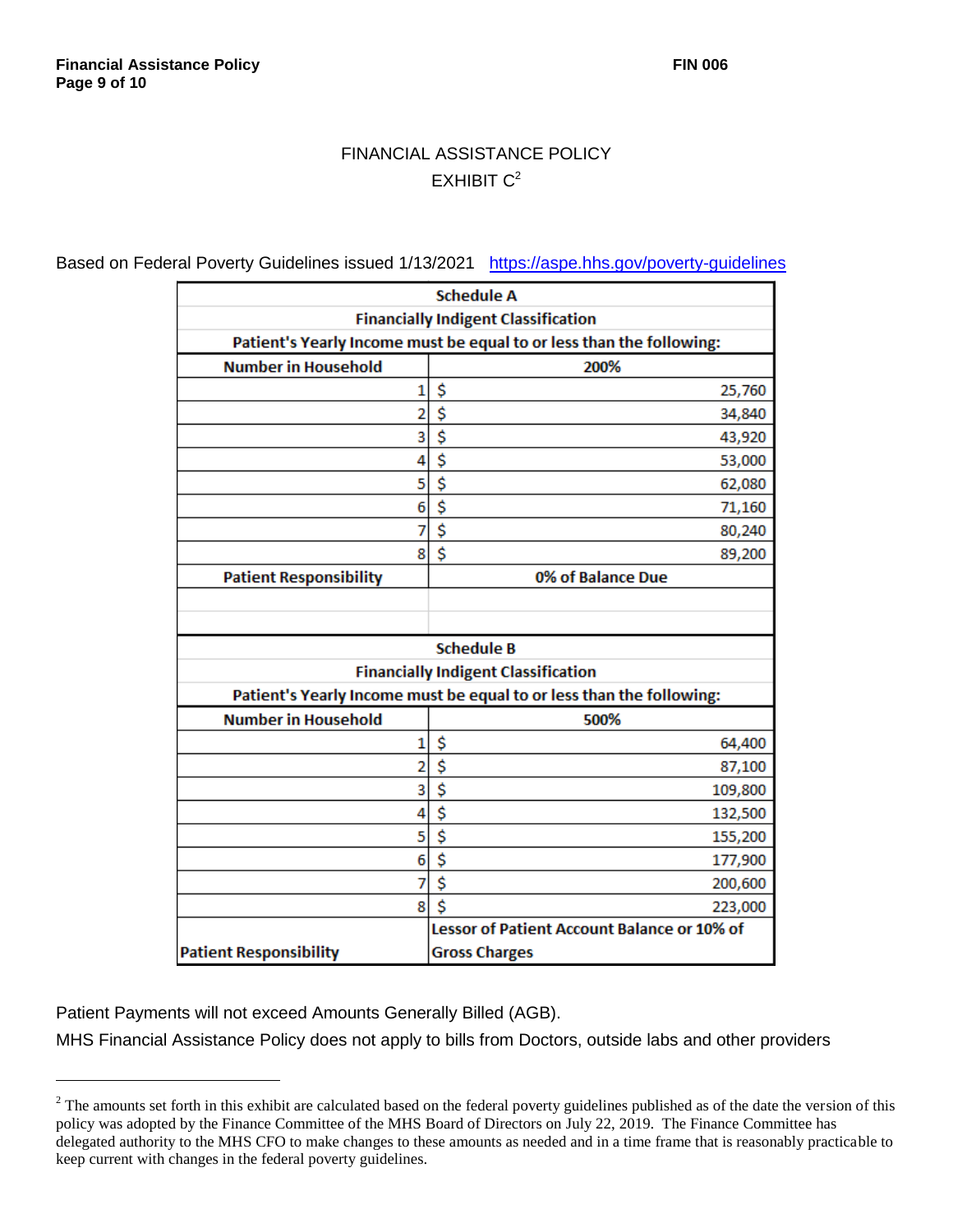## FINANCIAL ASSISTANCE POLICY  $EXHIBIT C<sup>2</sup>$

Based on Federal Poverty Guidelines issued 1/13/2021 <https://aspe.hhs.gov/poverty-guidelines>

|                                                                      | <b>Schedule A</b>                           |  |  |  |
|----------------------------------------------------------------------|---------------------------------------------|--|--|--|
| <b>Financially Indigent Classification</b>                           |                                             |  |  |  |
| Patient's Yearly Income must be equal to or less than the following: |                                             |  |  |  |
| <b>Number in Household</b>                                           | 200%                                        |  |  |  |
| 1                                                                    | \$<br>25,760                                |  |  |  |
| 2                                                                    | \$<br>34,840                                |  |  |  |
| 3                                                                    | \$<br>43,920                                |  |  |  |
| 4                                                                    | \$<br>53,000                                |  |  |  |
| 5                                                                    | \$<br>62,080                                |  |  |  |
| 6                                                                    | \$<br>71,160                                |  |  |  |
| 7                                                                    | \$<br>80,240                                |  |  |  |
| 8                                                                    | \$<br>89,200                                |  |  |  |
| <b>Patient Responsibility</b>                                        | 0% of Balance Due                           |  |  |  |
|                                                                      |                                             |  |  |  |
|                                                                      |                                             |  |  |  |
|                                                                      | <b>Schedule B</b>                           |  |  |  |
|                                                                      | <b>Financially Indigent Classification</b>  |  |  |  |
| Patient's Yearly Income must be equal to or less than the following: |                                             |  |  |  |
| <b>Number in Household</b>                                           | 500%                                        |  |  |  |
| 1                                                                    | \$<br>64,400                                |  |  |  |
| 2                                                                    | \$<br>87,100                                |  |  |  |
| 3                                                                    | \$<br>109,800                               |  |  |  |
| 4                                                                    | \$<br>132,500                               |  |  |  |
| 5                                                                    | \$<br>155,200                               |  |  |  |
| 6                                                                    |                                             |  |  |  |
|                                                                      | \$<br>177,900                               |  |  |  |
| 7                                                                    | \$<br>200,600                               |  |  |  |
| 8                                                                    | Ś<br>223,000                                |  |  |  |
|                                                                      | Lessor of Patient Account Balance or 10% of |  |  |  |

Patient Payments will not exceed Amounts Generally Billed (AGB).

 $\overline{a}$ 

MHS Financial Assistance Policy does not apply to bills from Doctors, outside labs and other providers

<sup>&</sup>lt;sup>2</sup> The amounts set forth in this exhibit are calculated based on the federal poverty guidelines published as of the date the version of this policy was adopted by the Finance Committee of the MHS Board of Directors on July 22, 2019. The Finance Committee has delegated authority to the MHS CFO to make changes to these amounts as needed and in a time frame that is reasonably practicable to keep current with changes in the federal poverty guidelines.